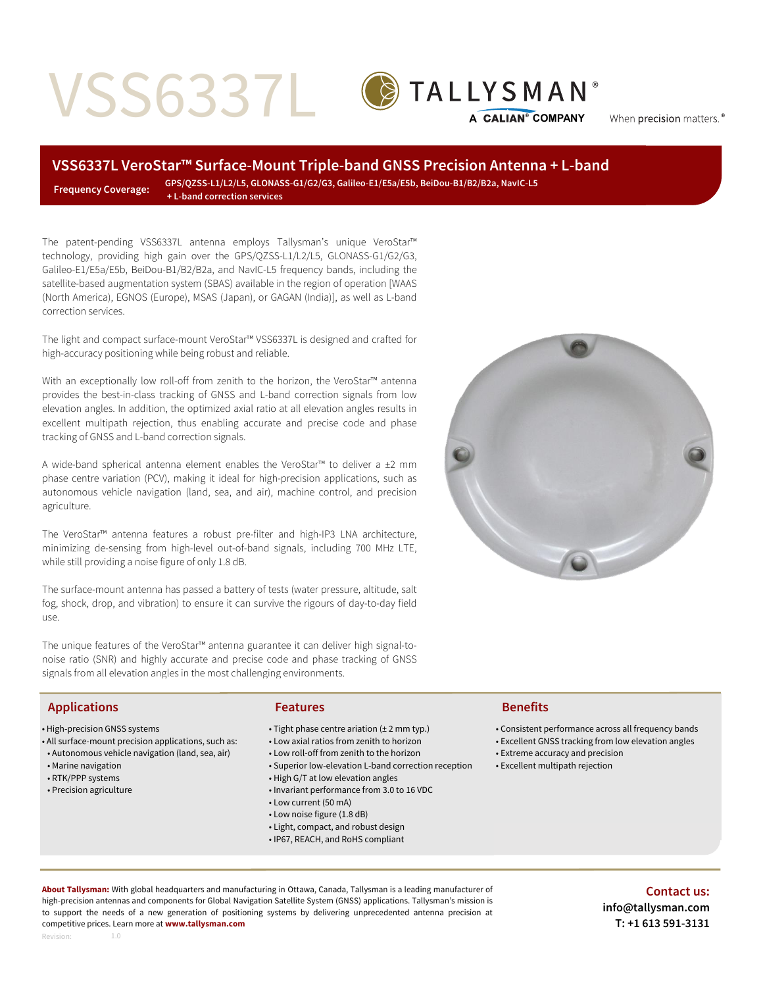# VSS6337L



When precision matters.<sup>®</sup>

# **VSS6337L VeroStar™ Surface-Mount Triple-band GNSS Precision Antenna + L-band**

 **Frequency Coverage: GPS/QZSS-L1/L2/L5, GLONASS-G1/G2/G3, Galileo-E1/E5a/E5b, BeiDou-B1/B2/B2a, NavIC-L5 + L-band correction services**

The patent-pending VSS6337L antenna employs Tallysman's unique VeroStar™ technology, providing high gain over the GPS/QZSS-L1/L2/L5, GLONASS-G1/G2/G3, Galileo-E1/E5a/E5b, BeiDou-B1/B2/B2a, and NavIC-L5 frequency bands, including the satellite-based augmentation system (SBAS) available in the region of operation [WAAS (North America), EGNOS (Europe), MSAS (Japan), or GAGAN (India)], as well as L-band correction services.

The light and compact surface-mount VeroStar™ VSS6337L is designed and crafted for high-accuracy positioning while being robust and reliable.

With an exceptionally low roll-off from zenith to the horizon, the VeroStar™ antenna provides the best-in-class tracking of GNSS and L-band correction signals from low elevation angles. In addition, the optimized axial ratio at all elevation angles results in excellent multipath rejection, thus enabling accurate and precise code and phase tracking of GNSS and L-band correction signals.

A wide-band spherical antenna element enables the VeroStar™ to deliver a ±2 mm phase centre variation (PCV), making it ideal for high-precision applications, such as autonomous vehicle navigation (land, sea, and air), machine control, and precision agriculture.

The VeroStar™ antenna features a robust pre-filter and high-IP3 LNA architecture, minimizing de-sensing from high-level out-of-band signals, including 700 MHz LTE, while still providing a noise figure of only 1.8 dB.

The surface-mount antenna has passed a battery of tests (water pressure, altitude, salt fog, shock, drop, and vibration) to ensure it can survive the rigours of day-to-day field use.

The unique features of the VeroStar™ antenna guarantee it can deliver high signal-tonoise ratio (SNR) and highly accurate and precise code and phase tracking of GNSS signals from all elevation angles in the most challenging environments.

# **Applications Features Benefits**

- High-precision GNSS systems
- All surface-mount precision applications, such as:
- Autonomous vehicle navigation (land, sea, air)
- Marine navigation
- RTK/PPP systems
- Precision agriculture

- Tight phase centre ariation (± 2 mm typ.)
- Low axial ratios from zenith to horizon
- Low roll-off from zenith to the horizon
- Superior low-elevation L-band correction reception
- High G/T at low elevation angles
- Invariant performance from 3.0 to 16 VDC
- Low current (50 mA)
- Low noise figure (1.8 dB)
- Light, compact, and robust design
- IP67, REACH, and RoHS compliant

- Consistent performance across all frequency bands
- Excellent GNSS tracking from low elevation angles
- Extreme accuracy and precision
- Excellent multipath rejection

**About Tallysman:** With global headquarters and manufacturing in Ottawa, Canada, Tallysman is a leading manufacturer of high-precision antennas and components for Global Navigation Satellite System (GNSS) applications. Tallysman's mission is to support the needs of a new generation of positioning systems by delivering unprecedented antenna precision at competitive prices. Learn more at **www.tallysman.com**

**Contact us:**

Revision:

1.0